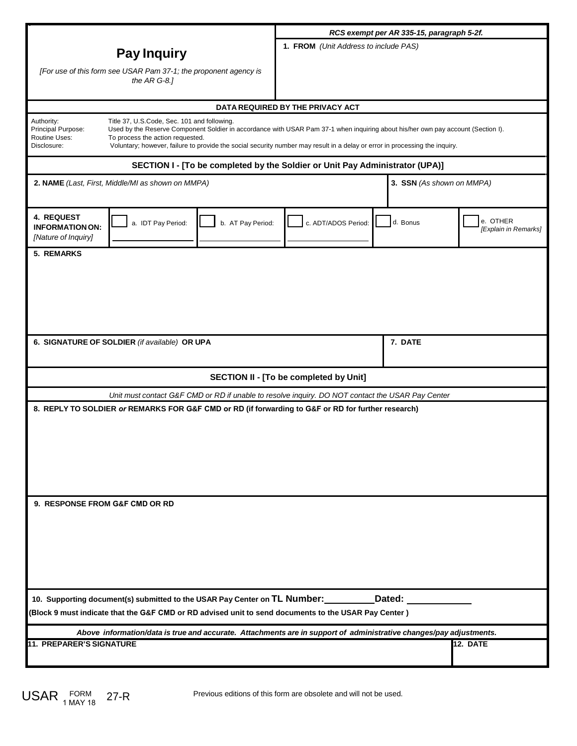|                                                                                                                                                                                                                                                                                 | RCS exempt per AR 335-15, paragraph 5-2f. |                           |                                  |
|---------------------------------------------------------------------------------------------------------------------------------------------------------------------------------------------------------------------------------------------------------------------------------|-------------------------------------------|---------------------------|----------------------------------|
| <b>Pay Inquiry</b>                                                                                                                                                                                                                                                              | 1. FROM (Unit Address to include PAS)     |                           |                                  |
|                                                                                                                                                                                                                                                                                 |                                           |                           |                                  |
| [For use of this form see USAR Pam 37-1; the proponent agency is<br>the $ARG-8.1$                                                                                                                                                                                               |                                           |                           |                                  |
|                                                                                                                                                                                                                                                                                 |                                           |                           |                                  |
| DATA REQUIRED BY THE PRIVACY ACT                                                                                                                                                                                                                                                |                                           |                           |                                  |
| Authority:<br>Title 37, U.S.Code, Sec. 101 and following.<br>Principal Purpose:<br>Used by the Reserve Component Soldier in accordance with USAR Pam 37-1 when inquiring about his/her own pay account (Section I).<br><b>Routine Uses:</b><br>To process the action requested. |                                           |                           |                                  |
| Disclosure:<br>Voluntary; however, failure to provide the social security number may result in a delay or error in processing the inquiry.                                                                                                                                      |                                           |                           |                                  |
| SECTION I - [To be completed by the Soldier or Unit Pay Administrator (UPA)]                                                                                                                                                                                                    |                                           |                           |                                  |
| 2. NAME (Last, First, Middle/MI as shown on MMPA)                                                                                                                                                                                                                               |                                           | 3. SSN (As shown on MMPA) |                                  |
| <b>4. REQUEST</b><br>a. IDT Pay Period:<br>b. AT Pay Period:<br><b>INFORMATION ON:</b><br>[Nature of Inquiry]                                                                                                                                                                   | c. ADT/ADOS Period:                       | d. Bonus                  | e. OTHER<br>[Explain in Remarks] |
| <b>5. REMARKS</b>                                                                                                                                                                                                                                                               |                                           |                           |                                  |
|                                                                                                                                                                                                                                                                                 |                                           |                           |                                  |
|                                                                                                                                                                                                                                                                                 |                                           |                           |                                  |
|                                                                                                                                                                                                                                                                                 |                                           |                           |                                  |
|                                                                                                                                                                                                                                                                                 |                                           |                           |                                  |
| 6. SIGNATURE OF SOLDIER (if available) OR UPA                                                                                                                                                                                                                                   |                                           | 7. DATE                   |                                  |
|                                                                                                                                                                                                                                                                                 |                                           |                           |                                  |
| <b>SECTION II - [To be completed by Unit]</b>                                                                                                                                                                                                                                   |                                           |                           |                                  |
| Unit must contact G&F CMD or RD if unable to resolve inquiry. DO NOT contact the USAR Pay Center                                                                                                                                                                                |                                           |                           |                                  |
| 8. REPLY TO SOLDIER or REMARKS FOR G&F CMD or RD (if forwarding to G&F or RD for further research)                                                                                                                                                                              |                                           |                           |                                  |
|                                                                                                                                                                                                                                                                                 |                                           |                           |                                  |
|                                                                                                                                                                                                                                                                                 |                                           |                           |                                  |
|                                                                                                                                                                                                                                                                                 |                                           |                           |                                  |
|                                                                                                                                                                                                                                                                                 |                                           |                           |                                  |
|                                                                                                                                                                                                                                                                                 |                                           |                           |                                  |
| 9. RESPONSE FROM G&F CMD OR RD                                                                                                                                                                                                                                                  |                                           |                           |                                  |
|                                                                                                                                                                                                                                                                                 |                                           |                           |                                  |
|                                                                                                                                                                                                                                                                                 |                                           |                           |                                  |
|                                                                                                                                                                                                                                                                                 |                                           |                           |                                  |
|                                                                                                                                                                                                                                                                                 |                                           |                           |                                  |
| 10. Supporting document(s) submitted to the USAR Pay Center on TL Number:<br>Dated:                                                                                                                                                                                             |                                           |                           |                                  |
| (Block 9 must indicate that the G&F CMD or RD advised unit to send documents to the USAR Pay Center)                                                                                                                                                                            |                                           |                           |                                  |
| Above information/data is true and accurate. Attachments are in support of administrative changes/pay adjustments.                                                                                                                                                              |                                           |                           |                                  |
| <b>11. PREPARER'S SIGNATURE</b><br>12. DATE                                                                                                                                                                                                                                     |                                           |                           |                                  |
|                                                                                                                                                                                                                                                                                 |                                           |                           |                                  |